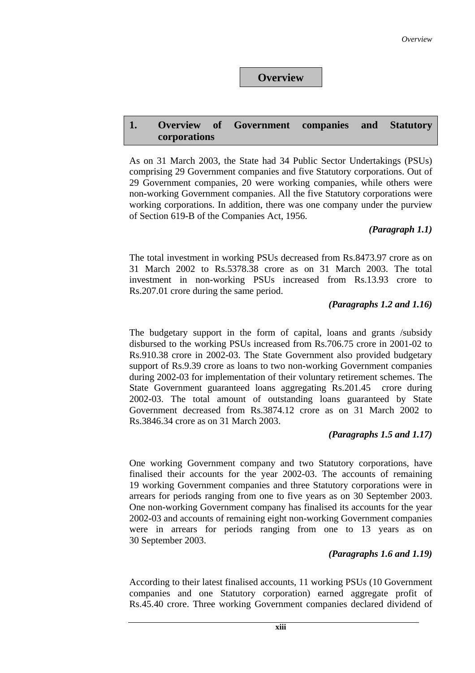# **Overview**

#### **1. Overview of Government companies and Statutory corporations**

As on 31 March 2003, the State had 34 Public Sector Undertakings (PSUs) comprising 29 Government companies and five Statutory corporations. Out of 29 Government companies, 20 were working companies, while others were non-working Government companies. All the five Statutory corporations were working corporations. In addition, there was one company under the purview of Section 619-B of the Companies Act, 1956.

#### *(Paragraph 1.1)*

The total investment in working PSUs decreased from Rs.8473.97 crore as on 31 March 2002 to Rs.5378.38 crore as on 31 March 2003. The total investment in non-working PSUs increased from Rs.13.93 crore to Rs.207.01 crore during the same period.

#### *(Paragraphs 1.2 and 1.16)*

The budgetary support in the form of capital, loans and grants /subsidy disbursed to the working PSUs increased from Rs.706.75 crore in 2001-02 to Rs.910.38 crore in 2002-03. The State Government also provided budgetary support of Rs.9.39 crore as loans to two non-working Government companies during 2002-03 for implementation of their voluntary retirement schemes. The State Government guaranteed loans aggregating Rs.201.45 crore during 2002-03. The total amount of outstanding loans guaranteed by State Government decreased from Rs.3874.12 crore as on 31 March 2002 to Rs.3846.34 crore as on 31 March 2003.

#### *(Paragraphs 1.5 and 1.17)*

One working Government company and two Statutory corporations, have finalised their accounts for the year 2002-03. The accounts of remaining 19 working Government companies and three Statutory corporations were in arrears for periods ranging from one to five years as on 30 September 2003. One non-working Government company has finalised its accounts for the year 2002-03 and accounts of remaining eight non-working Government companies were in arrears for periods ranging from one to 13 years as on 30 September 2003.

#### *(Paragraphs 1.6 and 1.19)*

According to their latest finalised accounts, 11 working PSUs (10 Government companies and one Statutory corporation) earned aggregate profit of Rs.45.40 crore. Three working Government companies declared dividend of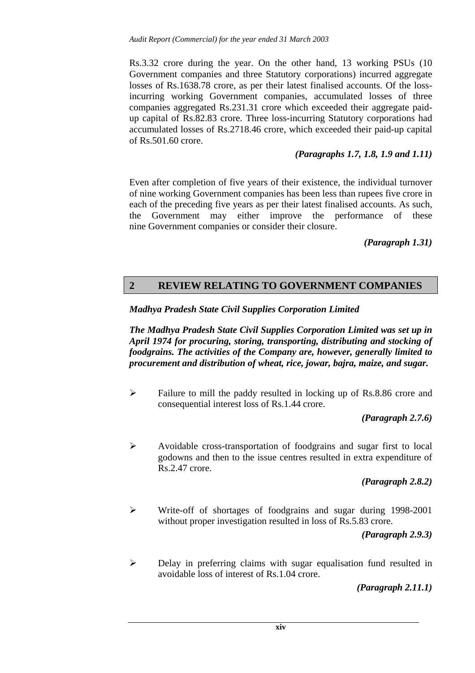Rs.3.32 crore during the year. On the other hand, 13 working PSUs (10 Government companies and three Statutory corporations) incurred aggregate losses of Rs.1638.78 crore, as per their latest finalised accounts. Of the lossincurring working Government companies, accumulated losses of three companies aggregated Rs.231.31 crore which exceeded their aggregate paidup capital of Rs.82.83 crore. Three loss-incurring Statutory corporations had accumulated losses of Rs.2718.46 crore, which exceeded their paid-up capital of Rs.501.60 crore.

#### *(Paragraphs 1.7, 1.8, 1.9 and 1.11)*

Even after completion of five years of their existence, the individual turnover of nine working Government companies has been less than rupees five crore in each of the preceding five years as per their latest finalised accounts. As such, the Government may either improve the performance of these nine Government companies or consider their closure.

*(Paragraph 1.31)* 

# **2 REVIEW RELATING TO GOVERNMENT COMPANIES**

*Madhya Pradesh State Civil Supplies Corporation Limited* 

*The Madhya Pradesh State Civil Supplies Corporation Limited was set up in April 1974 for procuring, storing, transporting, distributing and stocking of foodgrains. The activities of the Company are, however, generally limited to procurement and distribution of wheat, rice, jowar, bajra, maize, and sugar.* 

 $\triangleright$  Failure to mill the paddy resulted in locking up of Rs.8.86 crore and consequential interest loss of Rs.1.44 crore.

*(Paragraph 2.7.6)* 

 $\triangleright$  Avoidable cross-transportation of foodgrains and sugar first to local godowns and then to the issue centres resulted in extra expenditure of Rs.2.47 crore.

*(Paragraph 2.8.2)* 

! Write-off of shortages of foodgrains and sugar during 1998-2001 without proper investigation resulted in loss of Rs.5.83 crore.

*(Paragraph 2.9.3)* 

 $\triangleright$  Delay in preferring claims with sugar equalisation fund resulted in avoidable loss of interest of Rs.1.04 crore.

*(Paragraph 2.11.1)*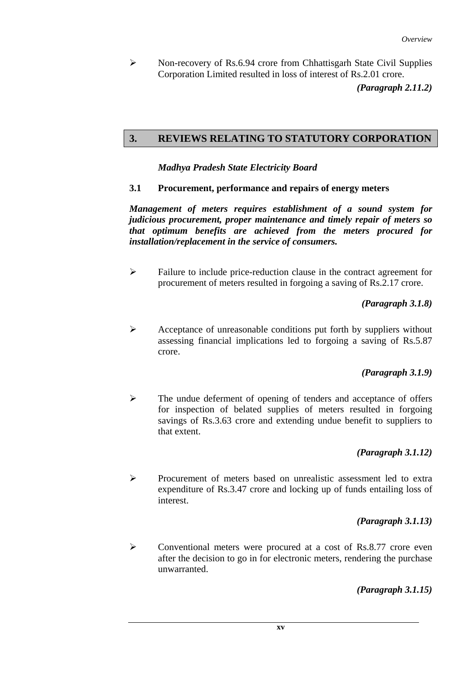! Non-recovery of Rs.6.94 crore from Chhattisgarh State Civil Supplies Corporation Limited resulted in loss of interest of Rs.2.01 crore.

*(Paragraph 2.11.2)*

# **3. REVIEWS RELATING TO STATUTORY CORPORATION**

 *Madhya Pradesh State Electricity Board* 

**3.1 Procurement, performance and repairs of energy meters** 

*Management of meters requires establishment of a sound system for judicious procurement, proper maintenance and timely repair of meters so that optimum benefits are achieved from the meters procured for installation/replacement in the service of consumers.* 

 $\triangleright$  Failure to include price-reduction clause in the contract agreement for procurement of meters resulted in forgoing a saving of Rs.2.17 crore.

*(Paragraph 3.1.8)* 

 $\triangleright$  Acceptance of unreasonable conditions put forth by suppliers without assessing financial implications led to forgoing a saving of Rs.5.87 crore.

# *(Paragraph 3.1.9)*

 $\triangleright$  The undue deferment of opening of tenders and acceptance of offers for inspection of belated supplies of meters resulted in forgoing savings of Rs.3.63 crore and extending undue benefit to suppliers to that extent.

# *(Paragraph 3.1.12)*

! Procurement of meters based on unrealistic assessment led to extra expenditure of Rs.3.47 crore and locking up of funds entailing loss of interest.

# *(Paragraph 3.1.13)*

 $\triangleright$  Conventional meters were procured at a cost of Rs.8.77 crore even after the decision to go in for electronic meters, rendering the purchase unwarranted.

*(Paragraph 3.1.15)*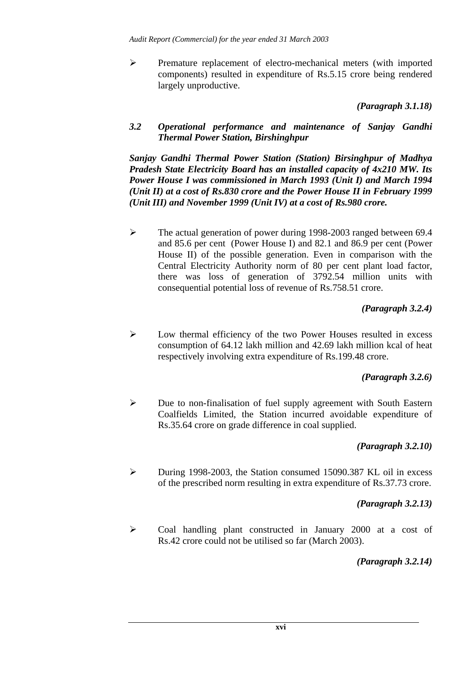! Premature replacement of electro-mechanical meters (with imported components) resulted in expenditure of Rs.5.15 crore being rendered largely unproductive.

*(Paragraph 3.1.18)*

*3.2 Operational performance and maintenance of Sanjay Gandhi Thermal Power Station, Birshinghpur* 

*Sanjay Gandhi Thermal Power Station (Station) Birsinghpur of Madhya Pradesh State Electricity Board has an installed capacity of 4x210 MW. Its Power House I was commissioned in March 1993 (Unit I) and March 1994 (Unit II) at a cost of Rs.830 crore and the Power House II in February 1999 (Unit III) and November 1999 (Unit IV) at a cost of Rs.980 crore.* 

 $\triangleright$  The actual generation of power during 1998-2003 ranged between 69.4 and 85.6 per cent (Power House I) and 82.1 and 86.9 per cent (Power House II) of the possible generation. Even in comparison with the Central Electricity Authority norm of 80 per cent plant load factor, there was loss of generation of 3792.54 million units with consequential potential loss of revenue of Rs.758.51 crore.

# *(Paragraph 3.2.4)*

! Low thermal efficiency of the two Power Houses resulted in excess consumption of 64.12 lakh million and 42.69 lakh million kcal of heat respectively involving extra expenditure of Rs.199.48 crore.

# *(Paragraph 3.2.6)*

 $\triangleright$  Due to non-finalisation of fuel supply agreement with South Eastern Coalfields Limited, the Station incurred avoidable expenditure of Rs.35.64 crore on grade difference in coal supplied.

# *(Paragraph 3.2.10)*

! During 1998-2003, the Station consumed 15090.387 KL oil in excess of the prescribed norm resulting in extra expenditure of Rs.37.73 crore.

# *(Paragraph 3.2.13)*

 $\triangleright$  Coal handling plant constructed in January 2000 at a cost of Rs.42 crore could not be utilised so far (March 2003).

#### *(Paragraph 3.2.14)*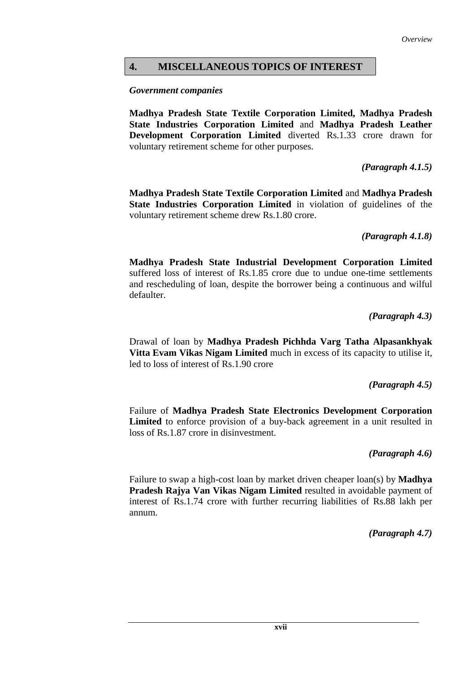## **4. MISCELLANEOUS TOPICS OF INTEREST**

#### *Government companies*

**Madhya Pradesh State Textile Corporation Limited, Madhya Pradesh State Industries Corporation Limited** and **Madhya Pradesh Leather Development Corporation Limited** diverted Rs.1.33 crore drawn for voluntary retirement scheme for other purposes.

*(Paragraph 4.1.5)*

**Madhya Pradesh State Textile Corporation Limited** and **Madhya Pradesh State Industries Corporation Limited** in violation of guidelines of the voluntary retirement scheme drew Rs.1.80 crore.

*(Paragraph 4.1.8)*

**Madhya Pradesh State Industrial Development Corporation Limited** suffered loss of interest of Rs.1.85 crore due to undue one-time settlements and rescheduling of loan, despite the borrower being a continuous and wilful defaulter.

*(Paragraph 4.3)*

Drawal of loan by **Madhya Pradesh Pichhda Varg Tatha Alpasankhyak Vitta Evam Vikas Nigam Limited** much in excess of its capacity to utilise it, led to loss of interest of Rs.1.90 crore

*(Paragraph 4.5)*

Failure of **Madhya Pradesh State Electronics Development Corporation Limited** to enforce provision of a buy-back agreement in a unit resulted in loss of Rs.1.87 crore in disinvestment.

*(Paragraph 4.6)*

Failure to swap a high-cost loan by market driven cheaper loan(s) by **Madhya Pradesh Rajya Van Vikas Nigam Limited** resulted in avoidable payment of interest of Rs.1.74 crore with further recurring liabilities of Rs.88 lakh per annum.

*(Paragraph 4.7)*